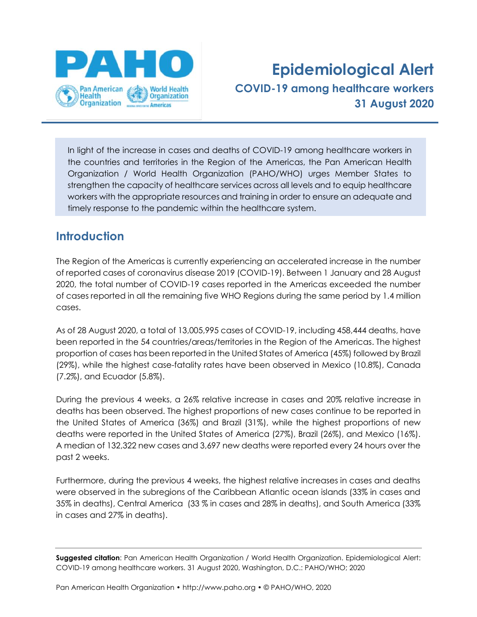

# **Epidemiological Alert COVID-19 among healthcare workers 31 August 2020**

In light of the increase in cases and deaths of COVID-19 among healthcare workers in the countries and territories in the Region of the Americas, the Pan American Health Organization / World Health Organization (PAHO/WHO) urges Member States to strengthen the capacity of healthcare services across all levels and to equip healthcare workers with the appropriate resources and training in order to ensure an adequate and timely response to the pandemic within the healthcare system.

## **Introduction**

The Region of the Americas is currently experiencing an accelerated increase in the number of reported cases of coronavirus disease 2019 (COVID-19). Between 1 January and 28 August 2020, the total number of COVID-19 cases reported in the Americas exceeded the number of cases reported in all the remaining five WHO Regions during the same period by 1.4 million cases.

As of 28 August 2020, a total of 13,005,995 cases of COVID-19, including 458,444 deaths, have been reported in the 54 countries/areas/territories in the Region of the Americas. The highest proportion of cases has been reported in the United States of America (45%) followed by Brazil (29%), while the highest case-fatality rates have been observed in Mexico (10.8%), Canada (7.2%), and Ecuador (5.8%).

During the previous 4 weeks, a 26% relative increase in cases and 20% relative increase in deaths has been observed. The highest proportions of new cases continue to be reported in the United States of America (36%) and Brazil (31%), while the highest proportions of new deaths were reported in the United States of America (27%), Brazil (26%), and Mexico (16%). A median of 132,322 new cases and 3,697 new deaths were reported every 24 hours over the past 2 weeks.

Furthermore, during the previous 4 weeks, the highest relative increases in cases and deaths were observed in the subregions of the Caribbean Atlantic ocean islands (33% in cases and 35% in deaths), Central America (33 % in cases and 28% in deaths), and South America (33% in cases and 27% in deaths).

**Suggested citation**: Pan American Health Organization / World Health Organization. Epidemiological Alert: COVID-19 among healthcare workers. 31 August 2020, Washington, D.C.: PAHO/WHO; 2020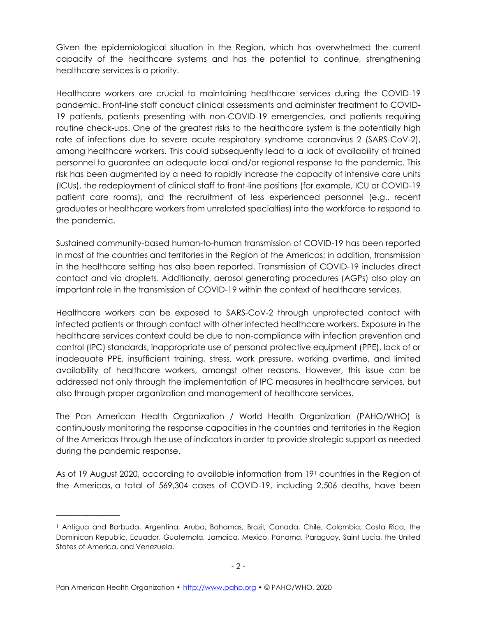Given the epidemiological situation in the Region, which has overwhelmed the current capacity of the healthcare systems and has the potential to continue, strengthening healthcare services is a priority.

Healthcare workers are crucial to maintaining healthcare services during the COVID-19 pandemic. Front-line staff conduct clinical assessments and administer treatment to COVID-19 patients, patients presenting with non-COVID-19 emergencies, and patients requiring routine check-ups. One of the greatest risks to the healthcare system is the potentially high rate of infections due to severe acute respiratory syndrome coronavirus 2 (SARS-CoV-2), among healthcare workers. This could subsequently lead to a lack of availability of trained personnel to guarantee an adequate local and/or regional response to the pandemic. This risk has been augmented by a need to rapidly increase the capacity of intensive care units (ICUs), the redeployment of clinical staff to front-line positions (for example, ICU or COVID-19 patient care rooms), and the recruitment of less experienced personnel (e.g., recent graduates or healthcare workers from unrelated specialties) into the workforce to respond to the pandemic.

Sustained community-based human-to-human transmission of COVID-19 has been reported in most of the countries and territories in the Region of the Americas; in addition, transmission in the healthcare setting has also been reported. Transmission of COVID-19 includes direct contact and via droplets. Additionally, aerosol generating procedures (AGPs) also play an important role in the transmission of COVID-19 within the context of healthcare services.

Healthcare workers can be exposed to SARS-CoV-2 through unprotected contact with infected patients or through contact with other infected healthcare workers. Exposure in the healthcare services context could be due to non-compliance with infection prevention and control (IPC) standards, inappropriate use of personal protective equipment (PPE), lack of or inadequate PPE, insufficient training, stress, work pressure, working overtime, and limited availability of healthcare workers, amongst other reasons. However, this issue can be addressed not only through the implementation of IPC measures in healthcare services, but also through proper organization and management of healthcare services.

The Pan American Health Organization / World Health Organization (PAHO/WHO) is continuously monitoring the response capacities in the countries and territories in the Region of the Americas through the use of indicators in order to provide strategic support as needed during the pandemic response.

As of 19 August 2020, according to available information from 19<sup>1</sup> countries in the Region of the Americas, a total of 569,304 cases of COVID-19, including 2,506 deaths, have been

\_\_\_\_\_\_\_\_\_\_\_\_\_\_\_

<sup>1</sup> Antigua and Barbuda, Argentina, Aruba, Bahamas, Brazil, Canada, Chile, Colombia, Costa Rica, the Dominican Republic, Ecuador, Guatemala, Jamaica, Mexico, Panama, Paraguay, Saint Lucia, the United States of America, and Venezuela.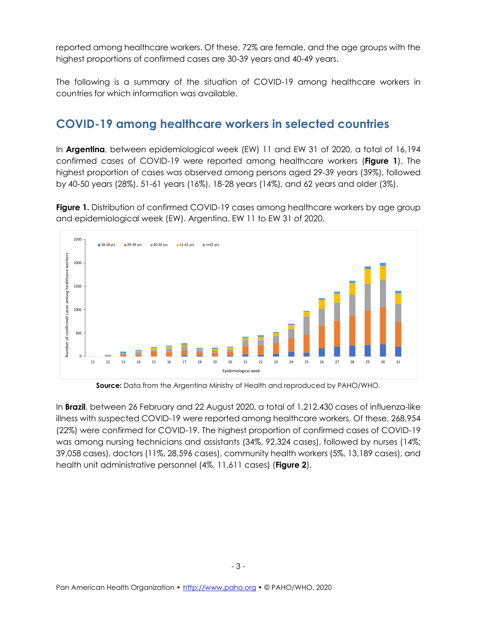reported among healthcare workers. Of these, 72% are female, and the age groups with the highest proportions of confirmed cases are 30-39 years and 40-49 years.

The following is a summary of the situation of COVID-19 among healthcare workers in countries for which information was available.

#### **COVID-19 among healthcare workers in selected countries**

In **Argentina**, between epidemiological week (EW) 11 and EW 31 of 2020, a total of 16,194 confirmed cases of COVID-19 were reported among healthcare workers (**Figure 1**). The highest proportion of cases was observed among persons aged 29-39 years (39%), followed by 40-50 years (28%), 51-61 years (16%), 18-28 years (14%), and 62 years and older (3%).

**Figure 1.** Distribution of confirmed COVID-19 cases among healthcare workers by age group and epidemiological week (EW). Argentina. EW 11 to EW 31 of 2020.



**Source:** Data from the Argentina Ministry of Health and reproduced by PAHO/WHO.

In **Brazil**, between 26 February and 22 August 2020, a total of 1,212,430 cases of influenza-like illness with suspected COVID-19 were reported among healthcare workers. Of these, 268,954 (22%) were confirmed for COVID-19. The highest proportion of confirmed cases of COVID-19 was among nursing technicians and assistants (34%, 92,324 cases), followed by nurses (14%; 39,058 cases), doctors (11%, 28,596 cases), community health workers (5%, 13,189 cases), and health unit administrative personnel (4%, 11,611 cases) (**Figure 2**).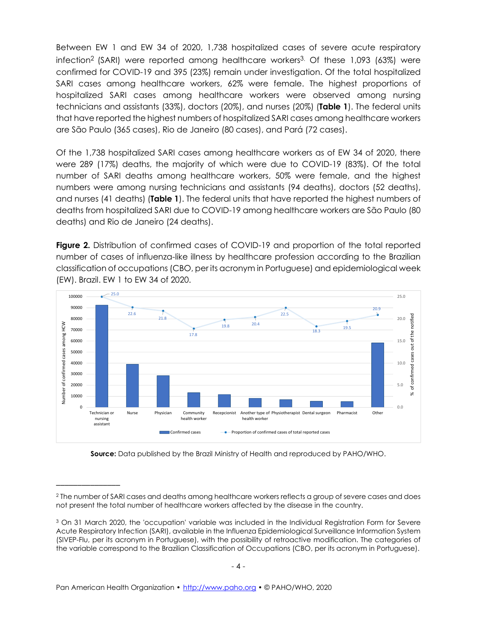Between EW 1 and EW 34 of 2020, 1,738 hospitalized cases of severe acute respiratory infection<sup>2</sup> (SARI) were reported among healthcare workers<sup>3.</sup> Of these 1,093 (63%) were confirmed for COVID-19 and 395 (23%) remain under investigation. Of the total hospitalized SARI cases among healthcare workers, 62% were female. The highest proportions of hospitalized SARI cases among healthcare workers were observed among nursing technicians and assistants (33%), doctors (20%), and nurses (20%) (**Table 1**). The federal units that have reported the highest numbers of hospitalized SARI cases among healthcare workers are São Paulo (365 cases), Rio de Janeiro (80 cases), and Pará (72 cases).

Of the 1,738 hospitalized SARI cases among healthcare workers as of EW 34 of 2020, there were 289 (17%) deaths, the majority of which were due to COVID-19 (83%). Of the total number of SARI deaths among healthcare workers, 50% were female, and the highest numbers were among nursing technicians and assistants (94 deaths), doctors (52 deaths), and nurses (41 deaths) (**Table 1**). The federal units that have reported the highest numbers of deaths from hospitalized SARI due to COVID-19 among healthcare workers are São Paulo (80 deaths) and Rio de Janeiro (24 deaths).

**Figure 2.** Distribution of confirmed cases of COVID-19 and proportion of the total reported number of cases of influenza-like illness by healthcare profession according to the Brazilian classification of occupations (CBO, per its acronym in Portuguese) and epidemiological week (EW). Brazil. EW 1 to EW 34 of 2020.



**Source:** Data published by the Brazil Ministry of Health and reproduced by PAHO/WHO.

\_\_\_\_\_\_\_\_\_\_\_\_\_\_\_

<sup>2</sup> The number of SARI cases and deaths among healthcare workers reflects a group of severe cases and does not present the total number of healthcare workers affected by the disease in the country.

<sup>&</sup>lt;sup>3</sup> On 31 March 2020, the 'occupation' variable was included in the Individual Registration Form for Severe Acute Respiratory Infection (SARI), available in the Influenza Epidemiological Surveillance Information System (SIVEP-Flu, per its acronym in Portuguese), with the possibility of retroactive modification. The categories of the variable correspond to the Brazilian Classification of Occupations (CBO, per its acronym in Portuguese).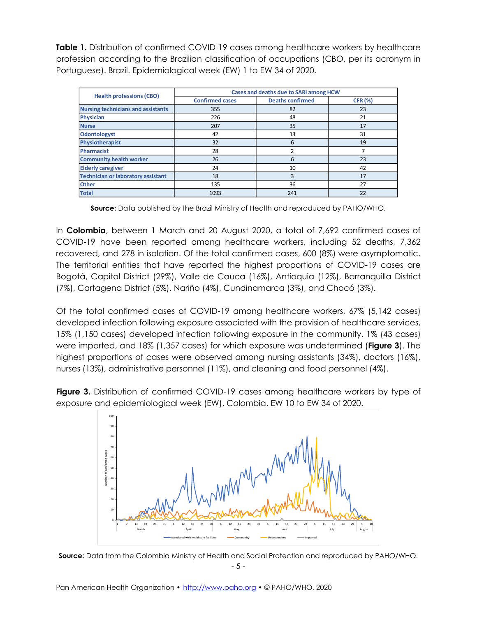**Table 1.** Distribution of confirmed COVID-19 cases among healthcare workers by healthcare profession according to the Brazilian classification of occupations (CBO, per its acronym in Portuguese). Brazil. Epidemiological week (EW) 1 to EW 34 of 2020.

| <b>Health professions (CBO)</b>           | Cases and deaths due to SARI among HCW |                         |                |
|-------------------------------------------|----------------------------------------|-------------------------|----------------|
|                                           | <b>Confirmed cases</b>                 | <b>Deaths confirmed</b> | <b>CFR (%)</b> |
| <b>Nursing technicians and assistants</b> | 355                                    | 82                      | 23             |
| <b>Physician</b>                          | 226                                    | 48                      | 21             |
| <b>Nurse</b>                              | 207                                    | 35                      | 17             |
| <b>Odontologyst</b>                       | 42                                     | 13                      | 31             |
| Physiotherapist                           | 32                                     | 6                       | 19             |
| Pharmacist                                | 28                                     |                         |                |
| <b>Community health worker</b>            | 26                                     | 6                       | 23             |
| <b>Elderly caregiver</b>                  | 24                                     | 10                      | 42             |
| <b>Technician or laboratory assistant</b> | 18                                     | 3                       | 17             |
| <b>Other</b>                              | 135                                    | 36                      | 27             |
| <b>Total</b>                              | 1093                                   | 241                     | 22             |

**Source:** Data published by the Brazil Ministry of Health and reproduced by PAHO/WHO.

In **Colombia**, between 1 March and 20 August 2020, a total of 7,692 confirmed cases of COVID-19 have been reported among healthcare workers, including 52 deaths, 7,362 recovered, and 278 in isolation. Of the total confirmed cases, 600 (8%) were asymptomatic. The territorial entities that have reported the highest proportions of COVID-19 cases are Bogotá, Capital District (29%), Valle de Cauca (16%), Antioquia (12%), Barranquilla District (7%), Cartagena District (5%), Nariño (4%), Cundinamarca (3%), and Chocó (3%).

Of the total confirmed cases of COVID-19 among healthcare workers, 67% (5,142 cases) developed infection following exposure associated with the provision of healthcare services, 15% (1,150 cases) developed infection following exposure in the community, 1% (43 cases) were imported, and 18% (1,357 cases) for which exposure was undetermined (**Figure 3**). The highest proportions of cases were observed among nursing assistants (34%), doctors (16%), nurses (13%), administrative personnel (11%), and cleaning and food personnel (4%).

**Figure 3.** Distribution of confirmed COVID-19 cases among healthcare workers by type of exposure and epidemiological week (EW). Colombia. EW 10 to EW 34 of 2020.



- 5 - **Source:** Data from the Colombia Ministry of Health and Social Protection and reproduced by PAHO/WHO.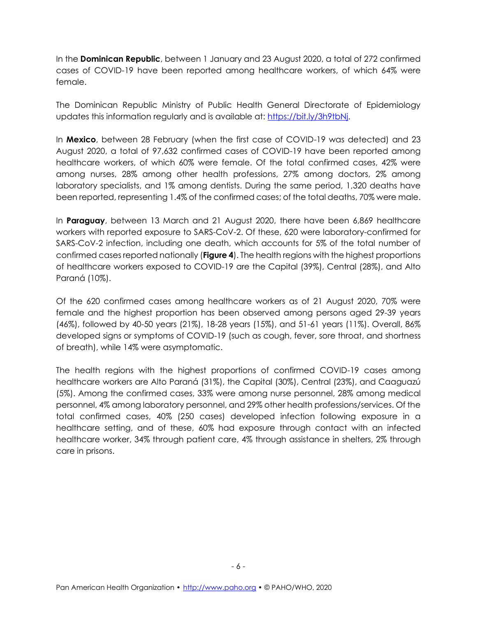In the **Dominican Republic**, between 1 January and 23 August 2020, a total of 272 confirmed cases of COVID-19 have been reported among healthcare workers, of which 64% were female.

The Dominican Republic Ministry of Public Health General Directorate of Epidemiology updates this information regularly and is available at: [https://bit.ly/3h9tbNj.](https://bit.ly/3h9tbNj)

In **Mexico**, between 28 February (when the first case of COVID-19 was detected) and 23 August 2020, a total of 97,632 confirmed cases of COVID-19 have been reported among healthcare workers, of which 60% were female. Of the total confirmed cases, 42% were among nurses, 28% among other health professions, 27% among doctors, 2% among laboratory specialists, and 1% among dentists. During the same period, 1,320 deaths have been reported, representing 1.4% of the confirmed cases; of the total deaths, 70% were male.

In **Paraguay**, between 13 March and 21 August 2020, there have been 6,869 healthcare workers with reported exposure to SARS-CoV-2. Of these, 620 were laboratory-confirmed for SARS-CoV-2 infection, including one death, which accounts for 5% of the total number of confirmed cases reported nationally (**Figure 4**). The health regions with the highest proportions of healthcare workers exposed to COVID-19 are the Capital (39%), Central (28%), and Alto Paraná (10%).

Of the 620 confirmed cases among healthcare workers as of 21 August 2020, 70% were female and the highest proportion has been observed among persons aged 29-39 years (46%), followed by 40-50 years (21%), 18-28 years (15%), and 51-61 years (11%). Overall, 86% developed signs or symptoms of COVID-19 (such as cough, fever, sore throat, and shortness of breath), while 14% were asymptomatic.

The health regions with the highest proportions of confirmed COVID-19 cases among healthcare workers are Alto Paraná (31%), the Capital (30%), Central (23%), and Caaguazú (5%). Among the confirmed cases, 33% were among nurse personnel, 28% among medical personnel, 4% among laboratory personnel, and 29% other health professions/services. Of the total confirmed cases, 40% (250 cases) developed infection following exposure in a healthcare setting, and of these, 60% had exposure through contact with an infected healthcare worker, 34% through patient care, 4% through assistance in shelters, 2% through care in prisons.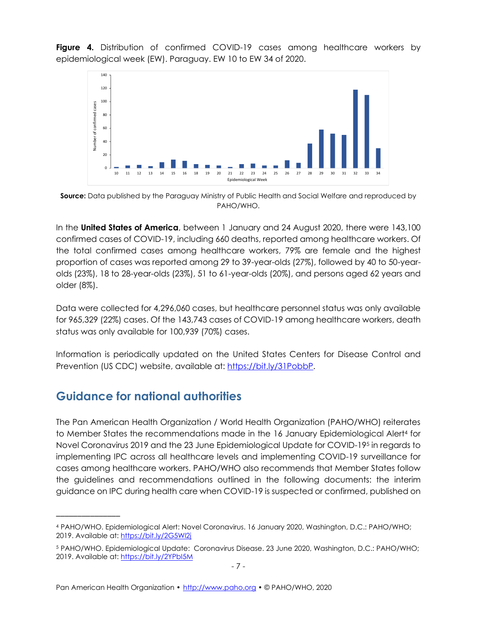**Figure 4.** Distribution of confirmed COVID-19 cases among healthcare workers by epidemiological week (EW). Paraguay. EW 10 to EW 34 of 2020.



**Source:** Data published by the Paraguay Ministry of Public Health and Social Welfare and reproduced by PAHO/WHO.

In the **United States of America**, between 1 January and 24 August 2020, there were 143,100 confirmed cases of COVID-19, including 660 deaths, reported among healthcare workers. Of the total confirmed cases among healthcare workers, 79% are female and the highest proportion of cases was reported among 29 to 39-year-olds (27%), followed by 40 to 50-yearolds (23%), 18 to 28-year-olds (23%), 51 to 61-year-olds (20%), and persons aged 62 years and older (8%).

Data were collected for 4,296,060 cases, but healthcare personnel status was only available for 965,329 (22%) cases. Of the 143,743 cases of COVID-19 among healthcare workers, death status was only available for 100,939 (70%) cases.

Information is periodically updated on the United States Centers for Disease Control and Prevention (US CDC) website, available at: [https://bit.ly/31PobbP.](https://bit.ly/31PobbP)

### **Guidance for national authorities**

\_\_\_\_\_\_\_\_\_\_\_\_\_\_\_

The Pan American Health Organization / World Health Organization (PAHO/WHO) reiterates to Member States the recommendations made in the 16 January Epidemiological Alert<sup>4</sup> for Novel Coronavirus 2019 and the 23 June Epidemiological Update for COVID-19<sup>5</sup> in regards to implementing IPC across all healthcare levels and implementing COVID-19 surveillance for cases among healthcare workers. PAHO/WHO also recommends that Member States follow the guidelines and recommendations outlined in the following documents: the interim guidance on IPC during health care when COVID-19 is suspected or confirmed, published on

<sup>4</sup> PAHO/WHO. Epidemiological Alert: Novel Coronavirus. 16 January 2020, Washington, D.C.: PAHO/WHO; 2019. Available at:<https://bit.ly/2G5Wl2j>

<sup>5</sup> PAHO/WHO. Epidemiological Update: Coronavirus Disease. 23 June 2020, Washington, D.C.: PAHO/WHO; 2019. Available at: <https://bit.ly/2YPbI5M>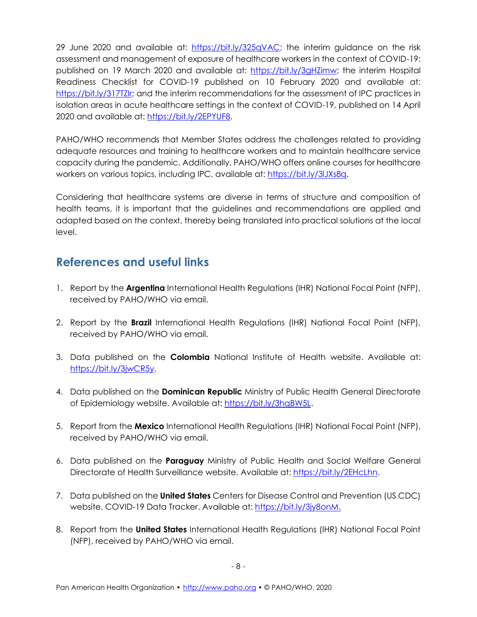29 June 2020 and available at: [https://bit.ly/325qVAC;](https://bit.ly/325qVAC) the interim guidance on the risk assessment and management of exposure of healthcare workers in the context of COVID-19: published on 19 March 2020 and available at: [https://bit.ly/3gHZimw;](https://bit.ly/3gHZimw) the interim Hospital Readiness Checklist for COVID-19 published on 10 February 2020 and available at: [https://bit.ly/317TZIr;](https://bit.ly/317TZIr) and the interim recommendations for the assessment of IPC practices in isolation areas in acute healthcare settings in the context of COVID-19, published on 14 April 2020 and available at: [https://bit.ly/2EPYUF8.](https://bit.ly/2EPYUF8)

PAHO/WHO recommends that Member States address the challenges related to providing adequate resources and training to healthcare workers and to maintain healthcare service capacity during the pandemic. Additionally, PAHO/WHO offers online courses for healthcare workers on various topics, including IPC, available at: [https://bit.ly/3lJXs8q.](https://bit.ly/3lJXs8q)

Considering that healthcare systems are diverse in terms of structure and composition of health teams, it is important that the guidelines and recommendations are applied and adapted based on the context, thereby being translated into practical solutions at the local level.

## **References and useful links**

- 1. Report by the **Argentina** International Health Regulations (IHR) National Focal Point (NFP), received by PAHO/WHO via email.
- 2. Report by the **Brazil** International Health Regulations (IHR) National Focal Point (NFP), received by PAHO/WHO via email.
- 3. Data published on the **Colombia** National Institute of Health website. Available at: [https://bit.ly/3jwCR5y.](https://bit.ly/3jwCR5y)
- 4. Data published on the **Dominican Republic** Ministry of Public Health General Directorate of Epidemiology website. Available at: [https://bit.ly/3hqBW5L.](https://bit.ly/3hqBW5L)
- 5. Report from the **Mexico** International Health Regulations (IHR) National Focal Point (NFP), received by PAHO/WHO via email.
- 6. Data published on the **Paraguay** Ministry of Public Health and Social Welfare General Directorate of Health Surveillance website. Available at: [https://bit.ly/2EHcLhn.](https://bit.ly/2EHcLhn)
- 7. Data published on the **United States** Centers for Disease Control and Prevention (US CDC) website. COVID-19 Data Tracker. Available at: [https://bit.ly/3jy8onM.](https://bit.ly/3jy8onM)
- 8. Report from the **United States** International Health Regulations (IHR) National Focal Point (NFP), received by PAHO/WHO via email.